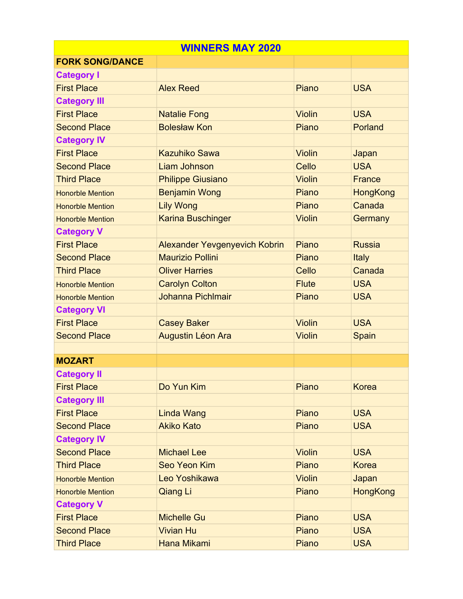| <b>WINNERS MAY 2020</b> |                                      |               |                 |  |
|-------------------------|--------------------------------------|---------------|-----------------|--|
| <b>FORK SONG/DANCE</b>  |                                      |               |                 |  |
| <b>Category I</b>       |                                      |               |                 |  |
| <b>First Place</b>      | <b>Alex Reed</b>                     | Piano         | <b>USA</b>      |  |
| <b>Category III</b>     |                                      |               |                 |  |
| <b>First Place</b>      | <b>Natalie Fong</b>                  | <b>Violin</b> | <b>USA</b>      |  |
| <b>Second Place</b>     | <b>Bolesław Kon</b>                  | Piano         | Porland         |  |
| <b>Category IV</b>      |                                      |               |                 |  |
| <b>First Place</b>      | <b>Kazuhiko Sawa</b>                 | <b>Violin</b> | Japan           |  |
| <b>Second Place</b>     | <b>Liam Johnson</b>                  | Cello         | <b>USA</b>      |  |
| <b>Third Place</b>      | <b>Philippe Giusiano</b>             | <b>Violin</b> | France          |  |
| <b>Honorble Mention</b> | <b>Benjamin Wong</b>                 | Piano         | HongKong        |  |
| <b>Honorble Mention</b> | <b>Lily Wong</b>                     | Piano         | Canada          |  |
| <b>Honorble Mention</b> | <b>Karina Buschinger</b>             | <b>Violin</b> | Germany         |  |
| <b>Category V</b>       |                                      |               |                 |  |
| <b>First Place</b>      | <b>Alexander Yevgenyevich Kobrin</b> | Piano         | <b>Russia</b>   |  |
| <b>Second Place</b>     | <b>Maurizio Pollini</b>              | Piano         | Italy           |  |
| <b>Third Place</b>      | <b>Oliver Harries</b>                | Cello         | Canada          |  |
| <b>Honorble Mention</b> | <b>Carolyn Colton</b>                | <b>Flute</b>  | <b>USA</b>      |  |
| <b>Honorble Mention</b> | Johanna Pichlmair                    | Piano         | <b>USA</b>      |  |
| <b>Category VI</b>      |                                      |               |                 |  |
| <b>First Place</b>      | <b>Casey Baker</b>                   | <b>Violin</b> | <b>USA</b>      |  |
| <b>Second Place</b>     | Augustin Léon Ara                    | <b>Violin</b> | Spain           |  |
|                         |                                      |               |                 |  |
| <b>MOZART</b>           |                                      |               |                 |  |
| <b>Category II</b>      |                                      |               |                 |  |
| <b>First Place</b>      | Do Yun Kim                           | Piano         | <b>Korea</b>    |  |
| <b>Category III</b>     |                                      |               |                 |  |
| <b>First Place</b>      | Linda Wang                           | Piano         | <b>USA</b>      |  |
| <b>Second Place</b>     | <b>Akiko Kato</b>                    | Piano         | <b>USA</b>      |  |
| <b>Category IV</b>      |                                      |               |                 |  |
| <b>Second Place</b>     | <b>Michael Lee</b>                   | <b>Violin</b> | <b>USA</b>      |  |
| <b>Third Place</b>      | Seo Yeon Kim                         | Piano         | <b>Korea</b>    |  |
| <b>Honorble Mention</b> | Leo Yoshikawa                        | <b>Violin</b> | Japan           |  |
| <b>Honorble Mention</b> | <b>Qiang Li</b>                      | Piano         | <b>HongKong</b> |  |
| <b>Category V</b>       |                                      |               |                 |  |
| <b>First Place</b>      | <b>Michelle Gu</b>                   | Piano         | <b>USA</b>      |  |
| <b>Second Place</b>     | <b>Vivian Hu</b>                     | Piano         | <b>USA</b>      |  |
| <b>Third Place</b>      | Hana Mikami                          | Piano         | <b>USA</b>      |  |